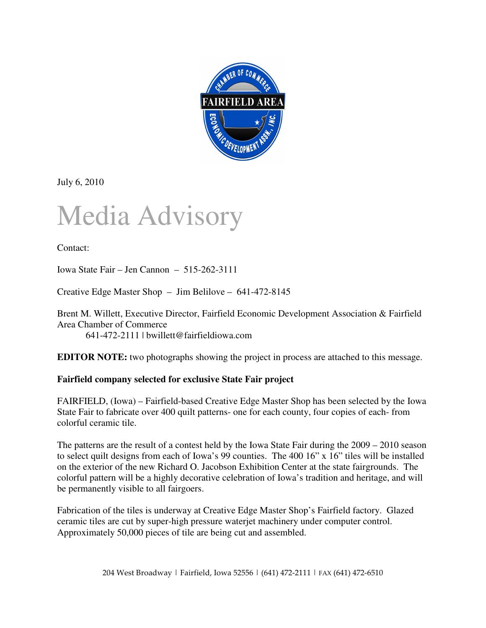

July 6, 2010

## Media Advisory

Contact:

Iowa State Fair – Jen Cannon – 515-262-3111

Creative Edge Master Shop – Jim Belilove – 641-472-8145

Brent M. Willett, Executive Director, Fairfield Economic Development Association & Fairfield Area Chamber of Commerce

641-472-2111 | bwillett@fairfieldiowa.com

**EDITOR NOTE:** two photographs showing the project in process are attached to this message.

## **Fairfield company selected for exclusive State Fair project**

FAIRFIELD, (Iowa) – Fairfield-based Creative Edge Master Shop has been selected by the Iowa State Fair to fabricate over 400 quilt patterns- one for each county, four copies of each- from colorful ceramic tile.

The patterns are the result of a contest held by the Iowa State Fair during the 2009 – 2010 season to select quilt designs from each of Iowa's 99 counties. The 400 16" x 16" tiles will be installed on the exterior of the new Richard O. Jacobson Exhibition Center at the state fairgrounds. The colorful pattern will be a highly decorative celebration of Iowa's tradition and heritage, and will be permanently visible to all fairgoers.

Fabrication of the tiles is underway at Creative Edge Master Shop's Fairfield factory. Glazed ceramic tiles are cut by super-high pressure waterjet machinery under computer control. Approximately 50,000 pieces of tile are being cut and assembled.